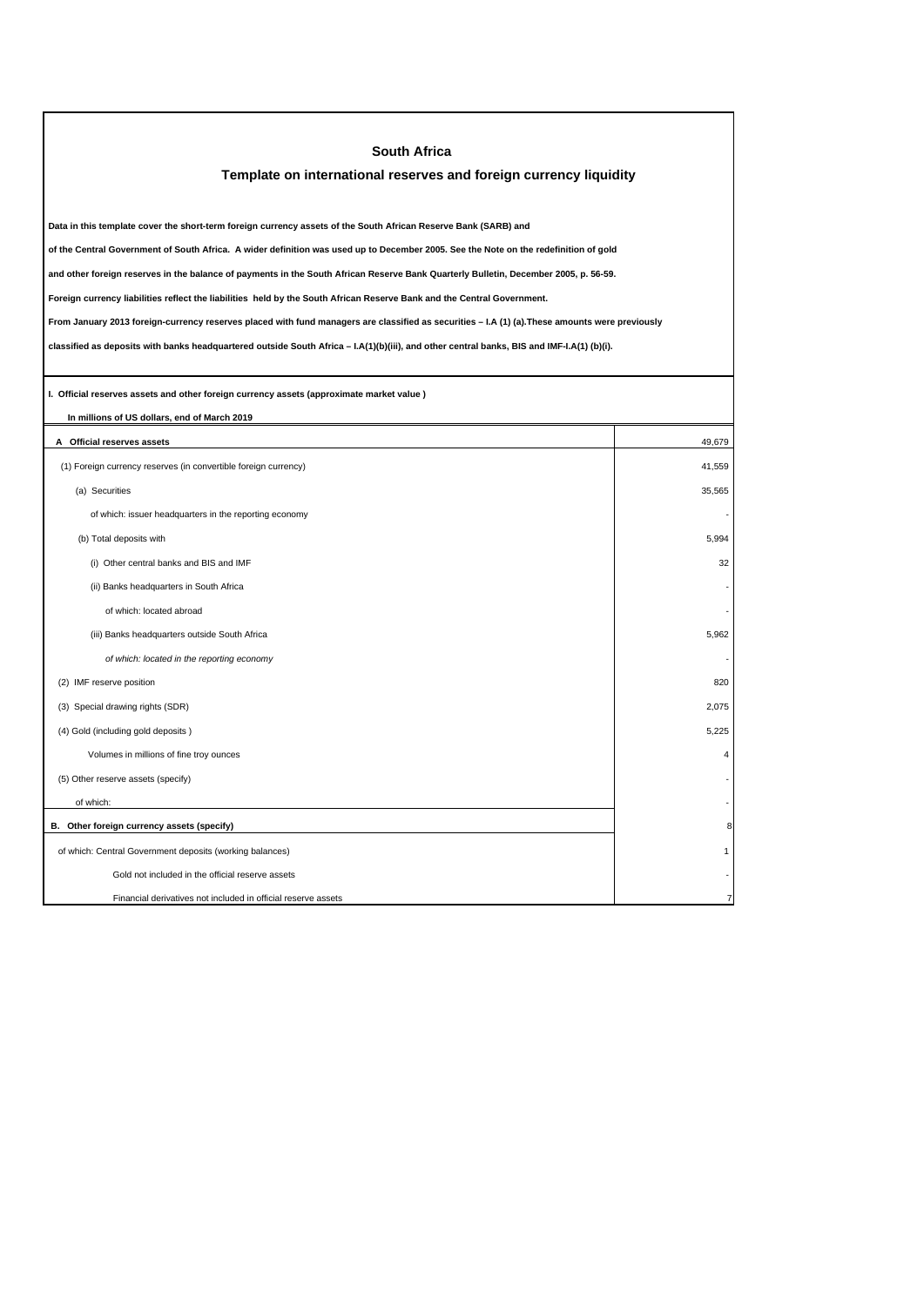| <b>South Africa</b>                                                                                                                             |                         |
|-------------------------------------------------------------------------------------------------------------------------------------------------|-------------------------|
| Template on international reserves and foreign currency liquidity                                                                               |                         |
|                                                                                                                                                 |                         |
| Data in this template cover the short-term foreign currency assets of the South African Reserve Bank (SARB) and                                 |                         |
| of the Central Government of South Africa. A wider definition was used up to December 2005. See the Note on the redefinition of gold            |                         |
| and other foreign reserves in the balance of payments in the South African Reserve Bank Quarterly Bulletin, December 2005, p. 56-59.            |                         |
| Foreign currency liabilities reflect the liabilities held by the South African Reserve Bank and the Central Government.                         |                         |
| From January 2013 foreign-currency reserves placed with fund managers are classified as securities - I.A (1) (a). These amounts were previously |                         |
| classified as deposits with banks headquartered outside South Africa - I.A(1)(b)(iii), and other central banks, BIS and IMF-I.A(1) (b)(i).      |                         |
|                                                                                                                                                 |                         |
| I. Official reserves assets and other foreign currency assets (approximate market value)                                                        |                         |
| In millions of US dollars, end of March 2019                                                                                                    |                         |
| A Official reserves assets                                                                                                                      | 49,679                  |
| (1) Foreign currency reserves (in convertible foreign currency)                                                                                 | 41.559                  |
| (a) Securities                                                                                                                                  | 35,565                  |
| of which: issuer headquarters in the reporting economy                                                                                          |                         |
| (b) Total deposits with                                                                                                                         | 5,994                   |
| (i) Other central banks and BIS and IMF                                                                                                         | 32                      |
| (ii) Banks headquarters in South Africa                                                                                                         |                         |
| of which: located abroad                                                                                                                        |                         |
| (iii) Banks headquarters outside South Africa                                                                                                   | 5,962                   |
| of which: located in the reporting economy                                                                                                      |                         |
| (2) IMF reserve position                                                                                                                        | 820                     |
| (3) Special drawing rights (SDR)                                                                                                                | 2,075                   |
| (4) Gold (including gold deposits)                                                                                                              | 5,225                   |
| Volumes in millions of fine troy ounces                                                                                                         | $\overline{\mathbf{4}}$ |
| (5) Other reserve assets (specify)                                                                                                              |                         |
| of which:                                                                                                                                       |                         |
| B. Other foreign currency assets (specify)                                                                                                      |                         |
| of which: Central Government deposits (working balances)                                                                                        |                         |
| Gold not included in the official reserve assets                                                                                                |                         |
| Financial derivatives not included in official reserve assets                                                                                   |                         |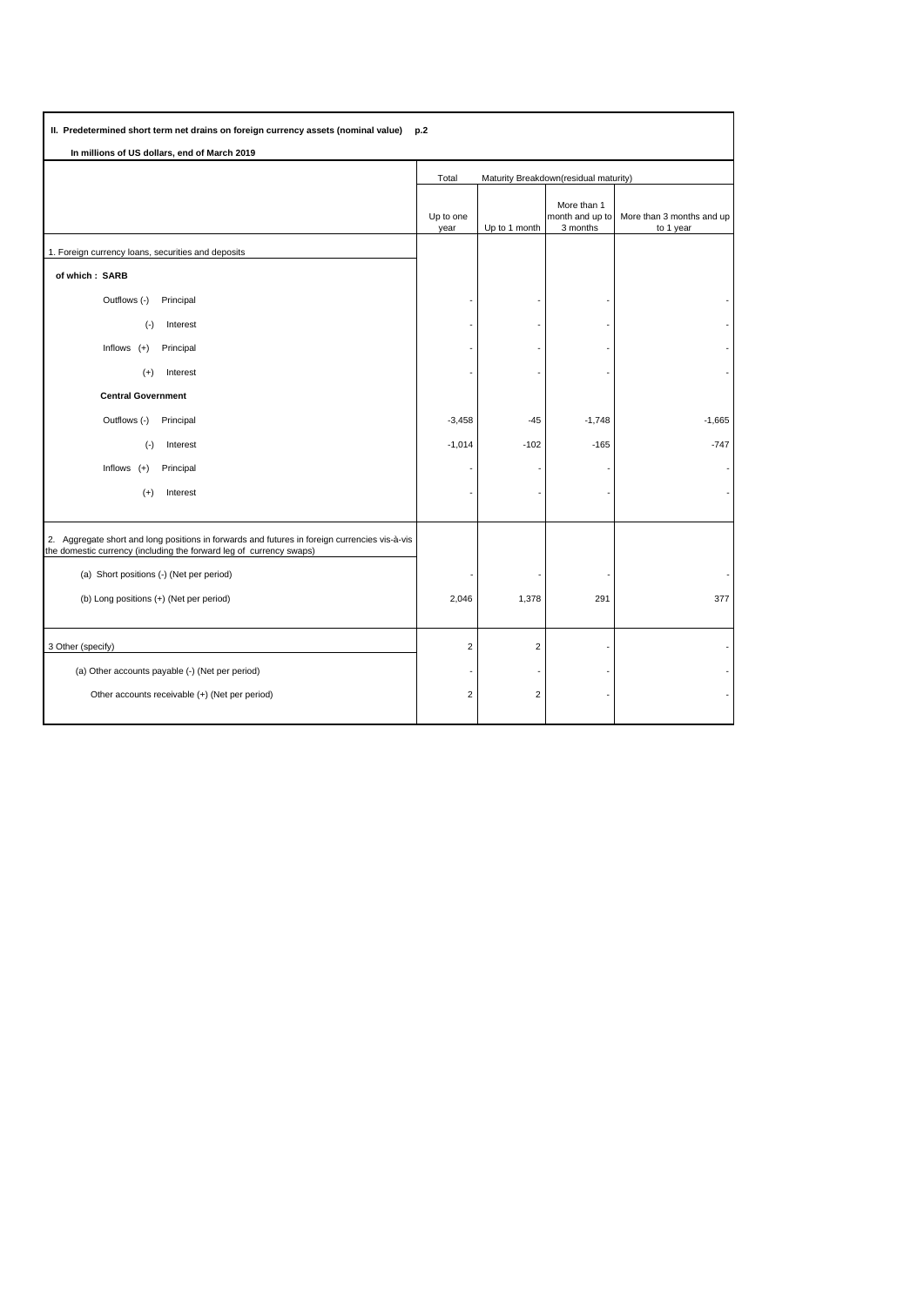| II. Predetermined short term net drains on foreign currency assets (nominal value)<br>p.2                                                                            |                                                |                |                                            |                                        |
|----------------------------------------------------------------------------------------------------------------------------------------------------------------------|------------------------------------------------|----------------|--------------------------------------------|----------------------------------------|
| In millions of US dollars, end of March 2019                                                                                                                         |                                                |                |                                            |                                        |
|                                                                                                                                                                      | Maturity Breakdown(residual maturity)<br>Total |                |                                            |                                        |
|                                                                                                                                                                      | Up to one<br>year                              | Up to 1 month  | More than 1<br>month and up to<br>3 months | More than 3 months and up<br>to 1 year |
| 1. Foreign currency loans, securities and deposits                                                                                                                   |                                                |                |                                            |                                        |
| of which: SARB                                                                                                                                                       |                                                |                |                                            |                                        |
| Outflows (-)<br>Principal                                                                                                                                            |                                                |                |                                            |                                        |
| $(\cdot)$<br>Interest                                                                                                                                                |                                                |                |                                            |                                        |
| Inflows $(+)$<br>Principal                                                                                                                                           |                                                |                |                                            |                                        |
| Interest<br>$(+)$                                                                                                                                                    |                                                |                |                                            |                                        |
| <b>Central Government</b>                                                                                                                                            |                                                |                |                                            |                                        |
| Outflows (-)<br>Principal                                                                                                                                            | $-3,458$                                       | $-45$          | $-1,748$                                   | $-1,665$                               |
| $(-)$<br>Interest                                                                                                                                                    | $-1,014$                                       | $-102$         | $-165$                                     | $-747$                                 |
| Inflows $(+)$<br>Principal                                                                                                                                           |                                                |                |                                            |                                        |
| $(+)$<br>Interest                                                                                                                                                    |                                                |                |                                            |                                        |
|                                                                                                                                                                      |                                                |                |                                            |                                        |
| 2. Aggregate short and long positions in forwards and futures in foreign currencies vis-à-vis<br>the domestic currency (including the forward leg of currency swaps) |                                                |                |                                            |                                        |
| (a) Short positions (-) (Net per period)                                                                                                                             |                                                |                |                                            |                                        |
| (b) Long positions (+) (Net per period)                                                                                                                              | 2,046                                          | 1,378          | 291                                        | 377                                    |
| 3 Other (specify)                                                                                                                                                    | $\overline{2}$                                 | $\overline{2}$ |                                            |                                        |
| (a) Other accounts payable (-) (Net per period)                                                                                                                      |                                                |                |                                            |                                        |
| Other accounts receivable (+) (Net per period)                                                                                                                       | $\overline{2}$                                 | $\overline{2}$ |                                            |                                        |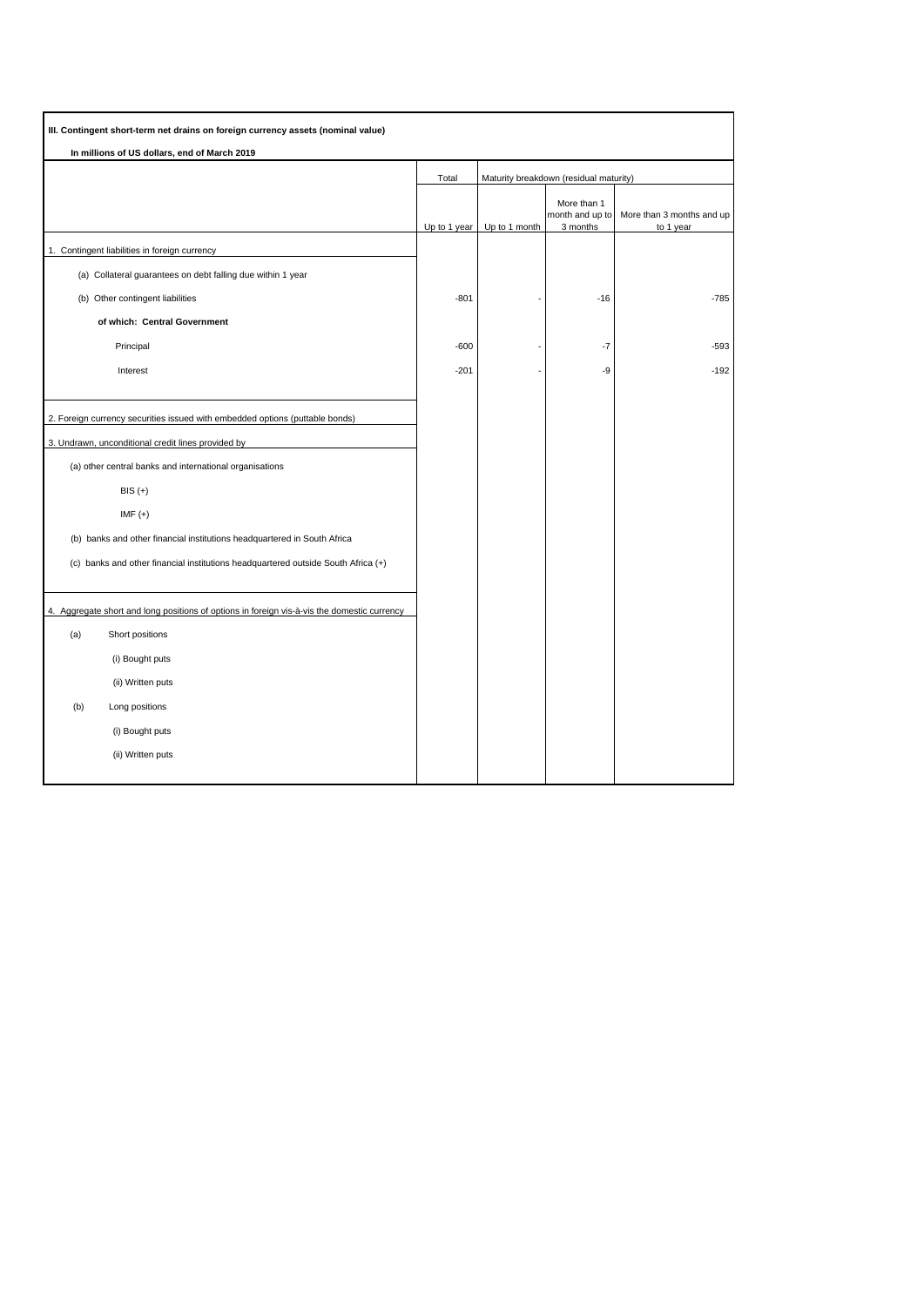| III. Contingent short-term net drains on foreign currency assets (nominal value)            |              |               |                                            |                                        |
|---------------------------------------------------------------------------------------------|--------------|---------------|--------------------------------------------|----------------------------------------|
| In millions of US dollars, end of March 2019                                                |              |               |                                            |                                        |
|                                                                                             | Total        |               | Maturity breakdown (residual maturity)     |                                        |
|                                                                                             | Up to 1 year | Up to 1 month | More than 1<br>month and up to<br>3 months | More than 3 months and up<br>to 1 year |
| 1. Contingent liabilities in foreign currency                                               |              |               |                                            |                                        |
| (a) Collateral guarantees on debt falling due within 1 year                                 |              |               |                                            |                                        |
| (b) Other contingent liabilities                                                            | $-801$       |               | $-16$                                      | -785                                   |
| of which: Central Government                                                                |              |               |                                            |                                        |
| Principal                                                                                   | $-600$       |               | $-7$                                       | -593                                   |
| Interest                                                                                    | $-201$       |               | -9                                         | $-192$                                 |
|                                                                                             |              |               |                                            |                                        |
| 2. Foreign currency securities issued with embedded options (puttable bonds)                |              |               |                                            |                                        |
| 3. Undrawn, unconditional credit lines provided by                                          |              |               |                                            |                                        |
| (a) other central banks and international organisations                                     |              |               |                                            |                                        |
| $BIS (+)$                                                                                   |              |               |                                            |                                        |
| $IMF (+)$                                                                                   |              |               |                                            |                                        |
| (b) banks and other financial institutions headquartered in South Africa                    |              |               |                                            |                                        |
| (c) banks and other financial institutions headquartered outside South Africa (+)           |              |               |                                            |                                        |
|                                                                                             |              |               |                                            |                                        |
| 4. Aggregate short and long positions of options in foreign vis-à-vis the domestic currency |              |               |                                            |                                        |
| (a)<br>Short positions                                                                      |              |               |                                            |                                        |
| (i) Bought puts                                                                             |              |               |                                            |                                        |
| (ii) Written puts                                                                           |              |               |                                            |                                        |
| (b)<br>Long positions                                                                       |              |               |                                            |                                        |
| (i) Bought puts                                                                             |              |               |                                            |                                        |
| (ii) Written puts                                                                           |              |               |                                            |                                        |
|                                                                                             |              |               |                                            |                                        |